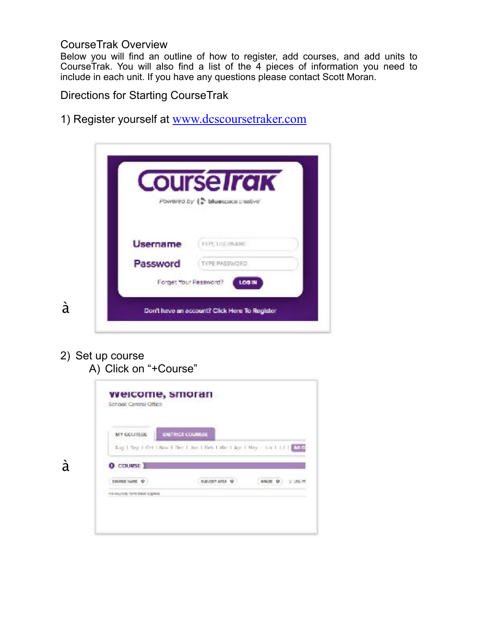## CourseTrak Overview

Below you will find an outline of how to register, add courses, and add units to CourseTrak. You will also find a list of the 4 pieces of information you need to include in each unit. If you have any questions please contact Scott Moran.

Directions for Starting CourseTrak

1) Register yourself at [www.dcscoursetraker.com](http://www.dcscoursetraker.com)

|          | <b>Course Irak</b><br>Powered by (C bluespace creative' |
|----------|---------------------------------------------------------|
|          |                                                         |
| Username | TYPE USE PRAME                                          |
| Password | TYPE PASSWORD                                           |
|          | Forget Your Password?<br>LOG IN                         |

2) Set up course A) Click on "+Course"

à

| MY COURSES     | DISTRICT COURSES                                                             |                |       |          |
|----------------|------------------------------------------------------------------------------|----------------|-------|----------|
|                | Aug   Sep   Oct   Nov   Dec   Jen   Seb   Mac   Apc   May   Jun   Jul   Alle |                |       |          |
| $0$ course $)$ |                                                                              |                |       |          |
|                |                                                                              |                |       |          |
| DOUBSE NAME @  |                                                                              | SUBJECT AREA @ | GMM Q | LICEL PR |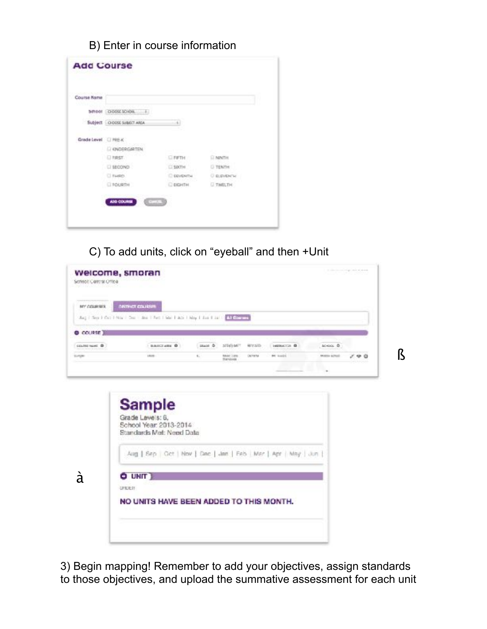## B) Enter in course information

| Course Name          |                              |                  |                    |
|----------------------|------------------------------|------------------|--------------------|
|                      | 5/1001 00000301006           |                  |                    |
|                      | Subject   O OOSE SUBSIT AREA |                  |                    |
| Grade Level [ PRE-K] |                              |                  |                    |
|                      | L) ENDERGARTEN               |                  | <b>P.A. DOWN</b>   |
|                      | <b>DIRST</b>                 | 日本新市             | <b>EL NONTH</b>    |
|                      | E BECOND                     | E SIXTH          | <b>U TENTH</b>     |
|                      | C Fastery                    | <b>E EEVENTH</b> | <b>CELEVIDICIA</b> |
|                      | <b>EL POURTH</b>             | □ вкити.         | <b>IT TWEETH</b>   |

C) To add units, click on "eyeball" and then +Unit



3) Begin mapping! Remember to add your objectives, assign standards to those objectives, and upload the summative assessment for each unit